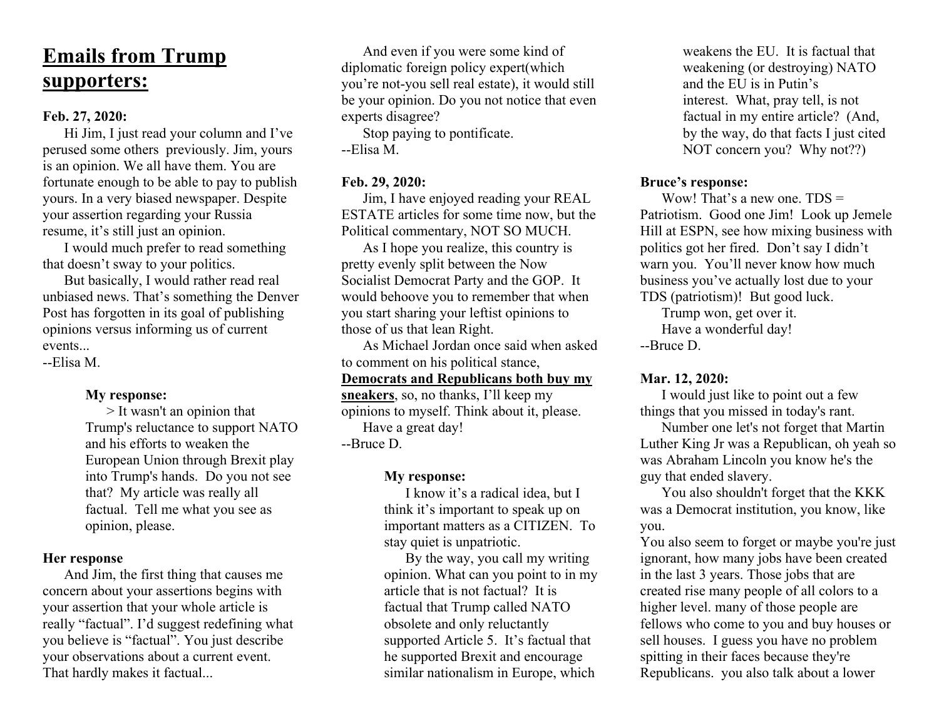# **Emails from Trump supporters:**

## **Feb. 27, 2020:**

Hi Jim, I just read your column and I've perused some others previously. Jim, yours is an opinion. We all have them. You are fortunate enough to be able to pay to publish yours. In a very biased newspaper. Despite your assertion regarding your Russia resume, it's still just an opinion.

I would much prefer to read something that doesn't sway to your politics.

But basically, I would rather read real unbiased news. That's something the Denver Post has forgotten in its goal of publishing opinions versus informing us of current events.

--Elisa M.

## **My response:**

> It wasn't an opinion that Trump's reluctance to support NATO and his efforts to weaken the European Union through Brexit play into Trump's hands. Do you not see that? My article was really all factual. Tell me what you see as opinion, please.

# **Her response**

And Jim, the first thing that causes me concern about your assertions begins with your assertion that your whole article is really "factual". I'd suggest redefining what you believe is "factual". You just describe your observations about a current event. That hardly makes it factual...

And even if you were some kind of diplomatic foreign policy expert(which you're not-you sell real estate), it would still be your opinion. Do you not notice that even experts disagree?

Stop paying to pontificate. --Elisa M.

# **Feb. 29, 2020:**

Jim, I have enjoyed reading your REAL ESTATE articles for some time now, but the Political commentary, NOT SO MUCH.

As I hope you realize, this country is pretty evenly split between the Now Socialist Democrat Party and the GOP. It would behoove you to remember that when you start sharing your leftist opinions to those of us that lean Right.

As Michael Jordan once said when asked to comment on his political stance,

# **Democrats and Republicans both buy my**

**sneakers**, so, no thanks, I'll keep my opinions to myself. Think about it, please. Have a great day! --Bruce D.

## **My response:**

I know it's a radical idea, but I think it's important to speak up on important matters as a CITIZEN. To stay quiet is unpatriotic.

By the way, you call my writing opinion. What can you point to in my article that is not factual? It is factual that Trump called NATO obsolete and only reluctantly supported Article 5. It's factual that he supported Brexit and encourage similar nationalism in Europe, which

weakens the EU. It is factual that weakening (or destroying) NATO and the EU is in Putin's interest. What, pray tell, is not factual in my entire article? (And, by the way, do that facts I just cited NOT concern you? Why not??)

## **Bruce's response:**

Wow! That's a new one. TDS = Patriotism. Good one Jim! Look up Jemele Hill at ESPN, see how mixing business with politics got her fired. Don't say I didn't warn you. You'll never know how much business you've actually lost due to your TDS (patriotism)! But good luck.

Trump won, get over it. Have a wonderful day!

--Bruce D.

## **Mar. 12, 2020:**

I would just like to point out a few things that you missed in today's rant.

Number one let's not forget that Martin Luther King Jr was a Republican, oh yeah so was Abraham Lincoln you know he's the guy that ended slavery.

You also shouldn't forget that the KKK was a Democrat institution, you know, like you.

You also seem to forget or maybe you're just ignorant, how many jobs have been created in the last 3 years. Those jobs that are created rise many people of all colors to a higher level. many of those people are fellows who come to you and buy houses or sell houses. I guess you have no problem spitting in their faces because they're Republicans. you also talk about a lower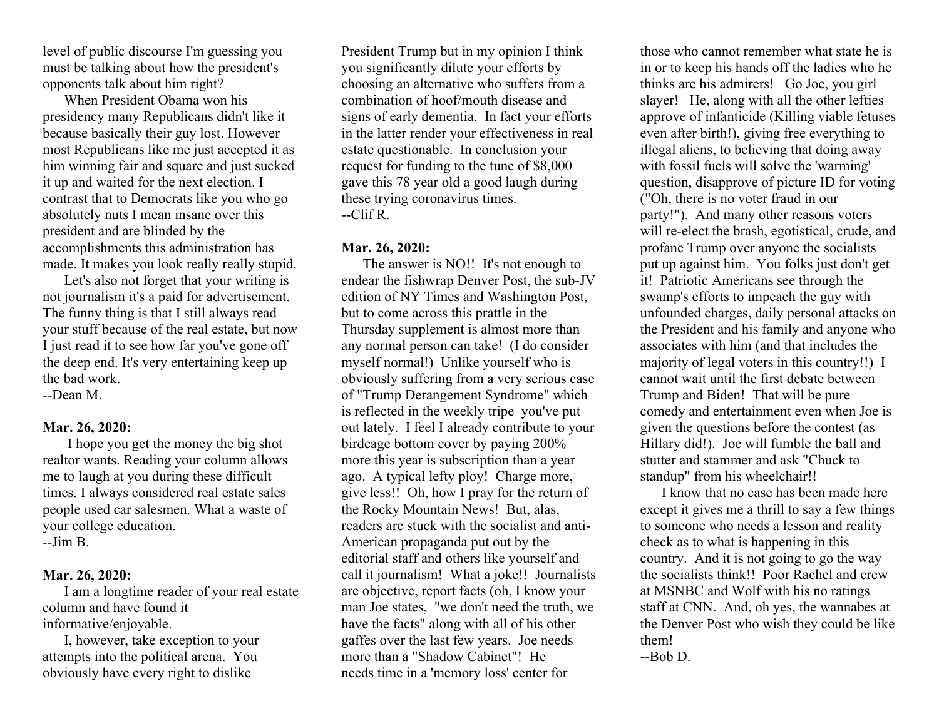level of public discourse I'm guessing you must be talking about how the president's opponents talk about him right?

When President Obama won his presidency many Republicans didn't like it because basically their guy lost. However most Republicans like me just accepted it as him winning fair and square and just sucked it up and waited for the next election. I contrast that to Democrats like you who go absolutely nuts I mean insane over this president and are blinded by the accomplishments this administration has made. It makes you look really really stupid.

Let's also not forget that your writing is not journalism it's a paid for advertisement. The funny thing is that I still always read your stuff because of the real estate, but now I just read it to see how far you've gone off the deep end. It's very entertaining keep up the bad work.

--Dean M.

# **Mar. 26, 2020:**

I hope you get the money the big shot realtor wants. Reading your column allows me to laugh at you during these difficult times. I always considered real estate sales people used car salesmen. What a waste of your college education. --Jim B.

# **Mar. 26, 2020:**

I am a longtime reader of your real estate column and have found it informative/enjoyable.

I, however, take exception to your attempts into the political arena. You obviously have every right to dislike

President Trump but in my opinion I think you significantly dilute your efforts by choosing an alternative who suffers from a combination of hoof/mouth disease and signs of early dementia. In fact your efforts in the latter render your effectiveness in real estate questionable. In conclusion your request for funding to the tune of \$8,000 gave this 78 year old a good laugh during these trying coronavirus times.  $-C$ lif R.

## **Mar. 26, 2020:**

The answer is NO!! It's not enough to endear the fishwrap Denver Post, the sub-JV edition of NY Times and Washington Post, but to come across this prattle in the Thursday supplement is almost more than any normal person can take! (I do consider myself normal!) Unlike yourself who is obviously suffering from a very serious case of "Trump Derangement Syndrome" which is reflected in the weekly tripe you've put out lately. I feel I already contribute to your birdcage bottom cover by paying 200% more this year is subscription than a year ago. A typical lefty ploy! Charge more, give less!! Oh, how I pray for the return of the Rocky Mountain News! But, alas, readers are stuck with the socialist and anti-American propaganda put out by the editorial staff and others like yourself and call it journalism! What a joke!! Journalists are objective, report facts (oh, I know your man Joe states, "we don't need the truth, we have the facts" along with all of his other gaffes over the last few years. Joe needs more than a "Shadow Cabinet"! He needs time in a 'memory loss' center for

those who cannot remember what state he is in or to keep his hands off the ladies who he thinks are his admirers! Go Joe, you girl slayer! He, along with all the other lefties approve of infanticide (Killing viable fetuses even after birth!), giving free everything to illegal aliens, to believing that doing away with fossil fuels will solve the 'warming' question, disapprove of picture ID for voting ("Oh, there is no voter fraud in our party!"). And many other reasons voters will re-elect the brash, egotistical, crude, and profane Trump over anyone the socialists put up against him. You folks just don't get it! Patriotic Americans see through the swamp's efforts to impeach the guy with unfounded charges, daily personal attacks on the President and his family and anyone who associates with him (and that includes the majority of legal voters in this country!!) I cannot wait until the first debate between Trump and Biden! That will be pure comedy and entertainment even when Joe is given the questions before the contest (as Hillary did!). Joe will fumble the ball and stutter and stammer and ask "Chuck to standup" from his wheelchair!!

I know that no case has been made here except it gives me a thrill to say a few things to someone who needs a lesson and reality check as to what is happening in this country. And it is not going to go the way the socialists think!! Poor Rachel and crew at MSNBC and Wolf with his no ratings staff at CNN. And, oh yes, the wannabes at the Denver Post who wish they could be like them!

--Bob D.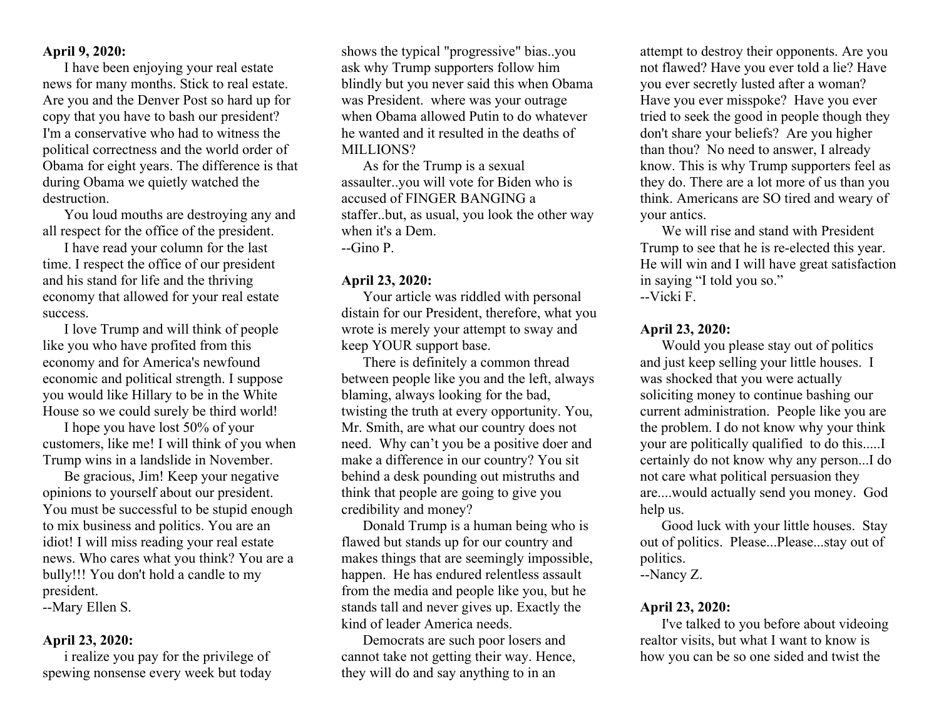## **April 9, 2020:**

I have been enjoying your real estate news for many months. Stick to real estate. Are you and the Denver Post so hard up for copy that you have to bash our president? I'm a conservative who had to witness the political correctness and the world order of Obama for eight years. The difference is that during Obama we quietly watched the destruction.

You loud mouths are destroying any and all respect for the office of the president.

I have read your column for the last time. I respect the office of our president and his stand for life and the thriving economy that allowed for your real estate success.

I love Trump and will think of people like you who have profited from this economy and for America's newfound economic and political strength. I suppose you would like Hillary to be in the White House so we could surely be third world!

I hope you have lost 50% of your customers, like me! I will think of you when Trump wins in a landslide in November.

Be gracious, Jim! Keep your negative opinions to yourself about our president. You must be successful to be stupid enough to mix business and politics. You are an idiot! I will miss reading your real estate news. Who cares what you think? You are a bully!!! You don't hold a candle to my president.

--Mary Ellen S.

## **April 23, 2020:**

i realize you pay for the privilege of spewing nonsense every week but today shows the typical "progressive" bias..you ask why Trump supporters follow him blindly but you never said this when Obama was President. where was your outrage when Obama allowed Putin to do whatever he wanted and it resulted in the deaths of MILLIONS?

As for the Trump is a sexual assaulter..you will vote for Biden who is accused of FINGER BANGING a staffer..but, as usual, you look the other way when it's a Dem. --Gino P.

#### **April 23, 2020:**

Your article was riddled with personal distain for our President, therefore, what you wrote is merely your attempt to sway and keep YOUR support base.

There is definitely a common thread between people like you and the left, always blaming, always looking for the bad, twisting the truth at every opportunity. You, Mr. Smith, are what our country does not need. Why can't you be a positive doer and make a difference in our country? You sit behind a desk pounding out mistruths and think that people are going to give you credibility and money?

Donald Trump is a human being who is flawed but stands up for our country and makes things that are seemingly impossible, happen. He has endured relentless assault from the media and people like you, but he stands tall and never gives up. Exactly the kind of leader America needs.

Democrats are such poor losers and cannot take not getting their way. Hence, they will do and say anything to in an

attempt to destroy their opponents. Are you not flawed? Have you ever told a lie? Have you ever secretly lusted after a woman? Have you ever misspoke? Have you ever tried to seek the good in people though they don't share your beliefs? Are you higher than thou? No need to answer, I already know. This is why Trump supporters feel as they do. There are a lot more of us than you think. Americans are SO tired and weary of your antics.

We will rise and stand with President Trump to see that he is re-elected this year. He will win and I will have great satisfaction in saying "I told you so." --Vicki F.

#### **April 23, 2020:**

Would you please stay out of politics and just keep selling your little houses. I was shocked that you were actually soliciting money to continue bashing our current administration. People like you are the problem. I do not know why your think your are politically qualified to do this.....I certainly do not know why any person...I do not care what political persuasion they are....would actually send you money. God help us.

Good luck with your little houses. Stay out of politics. Please...Please...stay out of politics.

--Nancy Z.

#### **April 23, 2020:**

I've talked to you before about videoing realtor visits, but what I want to know is how you can be so one sided and twist the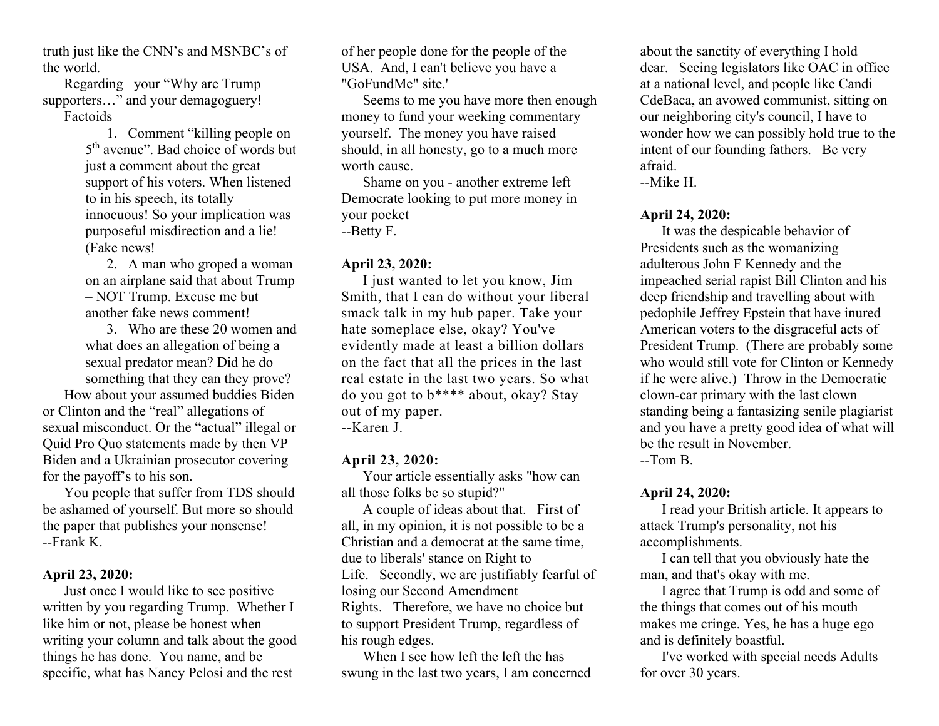truth just like the CNN's and MSNBC's of the world.

Regarding your "Why are Trump supporters..." and your demagoguery! Factoids

> 1. Comment "killing people on 5th avenue". Bad choice of words but just a comment about the great support of his voters. When listened to in his speech, its totally innocuous! So your implication was purposeful misdirection and a lie! (Fake news!

> 2. A man who groped a woman on an airplane said that about Trump – NOT Trump. Excuse me but another fake news comment!

3. Who are these 20 women and what does an allegation of being a sexual predator mean? Did he do something that they can they prove? How about your assumed buddies Biden or Clinton and the "real" allegations of sexual misconduct. Or the "actual" illegal or Quid Pro Quo statements made by then VP Biden and a Ukrainian prosecutor covering for the payoff's to his son.

You people that suffer from TDS should be ashamed of yourself. But more so should the paper that publishes your nonsense! --Frank K.

## **April 23, 2020:**

Just once I would like to see positive written by you regarding Trump. Whether I like him or not, please be honest when writing your column and talk about the good things he has done. You name, and be specific, what has Nancy Pelosi and the rest

of her people done for the people of the USA. And, I can't believe you have a "GoFundMe" site.'

Seems to me you have more then enough money to fund your weeking commentary yourself. The money you have raised should, in all honesty, go to a much more worth cause.

Shame on you - another extreme left Democrate looking to put more money in your pocket --Betty F.

#### **April 23, 2020:**

I just wanted to let you know, Jim Smith, that I can do without your liberal smack talk in my hub paper. Take your hate someplace else, okay? You've evidently made at least a billion dollars on the fact that all the prices in the last real estate in the last two years. So what do you got to b\*\*\*\* about, okay? Stay out of my paper. --Karen J.

**April 23, 2020:**  Your article essentially asks "how can all those folks be so stupid?"

A couple of ideas about that. First of all, in my opinion, it is not possible to be a Christian and a democrat at the same time, due to liberals' stance on Right to Life. Secondly, we are justifiably fearful of losing our Second Amendment Rights. Therefore, we have no choice but to support President Trump, regardless of his rough edges.

When I see how left the left the has swung in the last two years, I am concerned

about the sanctity of everything I hold dear. Seeing legislators like OAC in office at a national level, and people like Candi CdeBaca, an avowed communist, sitting on our neighboring city's council, I have to wonder how we can possibly hold true to the intent of our founding fathers. Be very afraid.

--Mike H.

#### **April 24, 2020:**

It was the despicable behavior of Presidents such as the womanizing adulterous John F Kennedy and the impeached serial rapist Bill Clinton and his deep friendship and travelling about with pedophile Jeffrey Epstein that have inured American voters to the disgraceful acts of President Trump. (There are probably some who would still vote for Clinton or Kennedy if he were alive.) Throw in the Democratic clown-car primary with the last clown standing being a fantasizing senile plagiarist and you have a pretty good idea of what will be the result in November. --Tom B.

# **April 24, 2020:**

I read your British article. It appears to attack Trump's personality, not his accomplishments.

I can tell that you obviously hate the man, and that's okay with me.

I agree that Trump is odd and some of the things that comes out of his mouth makes me cringe. Yes, he has a huge ego and is definitely boastful.

I've worked with special needs Adults for over 30 years.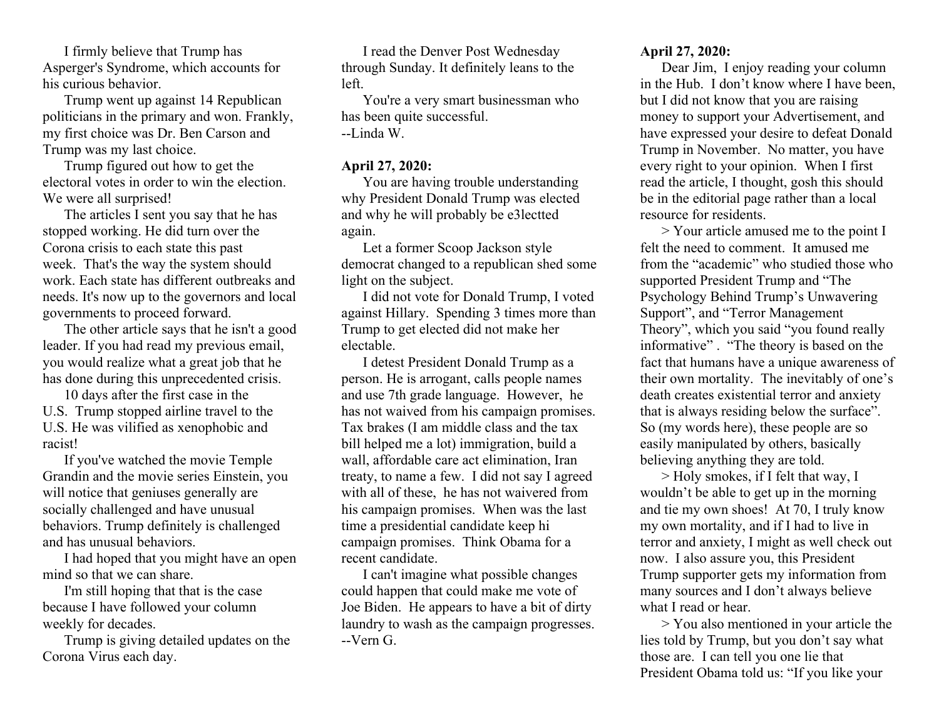I firmly believe that Trump has Asperger's Syndrome, which accounts for his curious behavior.

Trump went up against 14 Republican politicians in the primary and won. Frankly, my first choice was Dr. Ben Carson and Trump was my last choice.

Trump figured out how to get the electoral votes in order to win the election. We were all surprised!

The articles I sent you say that he has stopped working. He did turn over the Corona crisis to each state this past week. That's the way the system should work. Each state has different outbreaks and needs. It's now up to the governors and local governments to proceed forward.

The other article says that he isn't a good leader. If you had read my previous email, you would realize what a great job that he has done during this unprecedented crisis.

10 days after the first case in the U.S. Trump stopped airline travel to the U.S. He was vilified as xenophobic and racist!

If you've watched the movie Temple Grandin and the movie series Einstein, you will notice that geniuses generally are socially challenged and have unusual behaviors. Trump definitely is challenged and has unusual behaviors.

I had hoped that you might have an open mind so that we can share.

I'm still hoping that that is the case because I have followed your column weekly for decades.

Trump is giving detailed updates on the Corona Virus each day.

I read the Denver Post Wednesday through Sunday. It definitely leans to the left.

You're a very smart businessman who has been quite successful. --Linda W.

## **April 27, 2020:**

You are having trouble understanding why President Donald Trump was elected and why he will probably be e3lectted again.

Let a former Scoop Jackson style democrat changed to a republican shed some light on the subject.

I did not vote for Donald Trump, I voted against Hillary. Spending 3 times more than Trump to get elected did not make her electable.

I detest President Donald Trump as a person. He is arrogant, calls people names and use 7th grade language. However, he has not waived from his campaign promises. Tax brakes (I am middle class and the tax bill helped me a lot) immigration, build a wall, affordable care act elimination, Iran treaty, to name a few. I did not say I agreed with all of these, he has not waivered from his campaign promises. When was the last time a presidential candidate keep hi campaign promises. Think Obama for a recent candidate.

I can't imagine what possible changes could happen that could make me vote of Joe Biden. He appears to have a bit of dirty laundry to wash as the campaign progresses. --Vern G.

# **April 27, 2020:**

Dear Jim, I enjoy reading your column in the Hub. I don't know where I have been but I did not know that you are raising money to support your Advertisement, and have expressed your desire to defeat Donald Trump in November. No matter, you have every right to your opinion. When I first read the article, I thought, gosh this should be in the editorial page rather than a local resource for residents.

> Your article amused me to the point I felt the need to comment. It amused me from the "academic" who studied those who supported President Trump and "The Psychology Behind Trump's Unwavering Support", and "Terror Management Theory", which you said "you found really informative" . "The theory is based on the fact that humans have a unique awareness of their own mortality. The inevitably of one's death creates existential terror and anxiety that is always residing below the surface". So (my words here), these people are so easily manipulated by others, basically believing anything they are told.

> Holy smokes, if I felt that way, I wouldn't be able to get up in the morning and tie my own shoes! At 70, I truly know my own mortality, and if I had to live in terror and anxiety, I might as well check out now. I also assure you, this President Trump supporter gets my information from many sources and I don't always believe what I read or hear.

> You also mentioned in your article the lies told by Trump, but you don't say what those are. I can tell you one lie that President Obama told us: "If you like your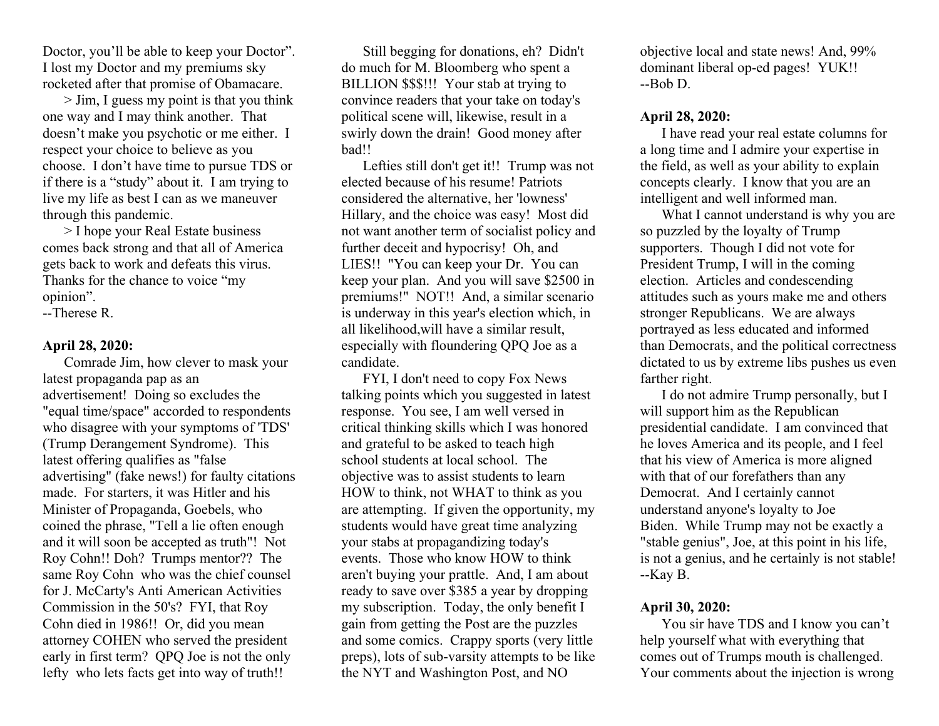Doctor, you'll be able to keep your Doctor". I lost my Doctor and my premiums sky rocketed after that promise of Obamacare.

> Jim, I guess my point is that you think one way and I may think another. That doesn't make you psychotic or me either. I respect your choice to believe as you choose. I don't have time to pursue TDS or if there is a "study" about it. I am trying to live my life as best I can as we maneuver through this pandemic.

> I hope your Real Estate business comes back strong and that all of America gets back to work and defeats this virus. Thanks for the chance to voice "my opinion".

--Therese R.

#### **April 28, 2020:**

Comrade Jim, how clever to mask your latest propaganda pap as an advertisement! Doing so excludes the "equal time/space" accorded to respondents who disagree with your symptoms of 'TDS' (Trump Derangement Syndrome). This latest offering qualifies as "false advertising" (fake news!) for faulty citations made. For starters, it was Hitler and his Minister of Propaganda, Goebels, who coined the phrase, "Tell a lie often enough and it will soon be accepted as truth"! Not Roy Cohn!! Doh? Trumps mentor?? The same Roy Cohn who was the chief counsel for J. McCarty's Anti American Activities Commission in the 50's? FYI, that Roy Cohn died in 1986!! Or, did you mean attorney COHEN who served the president early in first term? QPQ Joe is not the only lefty who lets facts get into way of truth!!

Still begging for donations, eh? Didn't do much for M. Bloomberg who spent a BILLION \$\$\$!!! Your stab at trying to convince readers that your take on today's political scene will, likewise, result in a swirly down the drain! Good money after bad!!

Lefties still don't get it!! Trump was not elected because of his resume! Patriots considered the alternative, her 'lowness' Hillary, and the choice was easy! Most did not want another term of socialist policy and further deceit and hypocrisy! Oh, and LIES!! "You can keep your Dr. You can keep your plan. And you will save \$2500 in premiums!" NOT!! And, a similar scenario is underway in this year's election which, in all likelihood,will have a similar result, especially with floundering QPQ Joe as a candidate.

FYI, I don't need to copy Fox News talking points which you suggested in latest response. You see, I am well versed in critical thinking skills which I was honored and grateful to be asked to teach high school students at local school. The objective was to assist students to learn HOW to think, not WHAT to think as you are attempting. If given the opportunity, my students would have great time analyzing your stabs at propagandizing today's events. Those who know HOW to think aren't buying your prattle. And, I am about ready to save over \$385 a year by dropping my subscription. Today, the only benefit I gain from getting the Post are the puzzles and some comics. Crappy sports (very little preps), lots of sub-varsity attempts to be like the NYT and Washington Post, and NO

objective local and state news! And, 99% dominant liberal op-ed pages! YUK!! --Bob D.

## **April 28, 2020:**

I have read your real estate columns for a long time and I admire your expertise in the field, as well as your ability to explain concepts clearly. I know that you are an intelligent and well informed man.

What I cannot understand is why you are so puzzled by the loyalty of Trump supporters. Though I did not vote for President Trump, I will in the coming election. Articles and condescending attitudes such as yours make me and others stronger Republicans. We are always portrayed as less educated and informed than Democrats, and the political correctness dictated to us by extreme libs pushes us even farther right.

I do not admire Trump personally, but I will support him as the Republican presidential candidate. I am convinced that he loves America and its people, and I feel that his view of America is more aligned with that of our forefathers than any Democrat. And I certainly cannot understand anyone's loyalty to Joe Biden. While Trump may not be exactly a "stable genius", Joe, at this point in his life, is not a genius, and he certainly is not stable! --Kay B.

## **April 30, 2020:**

You sir have TDS and I know you can't help yourself what with everything that comes out of Trumps mouth is challenged. Your comments about the injection is wrong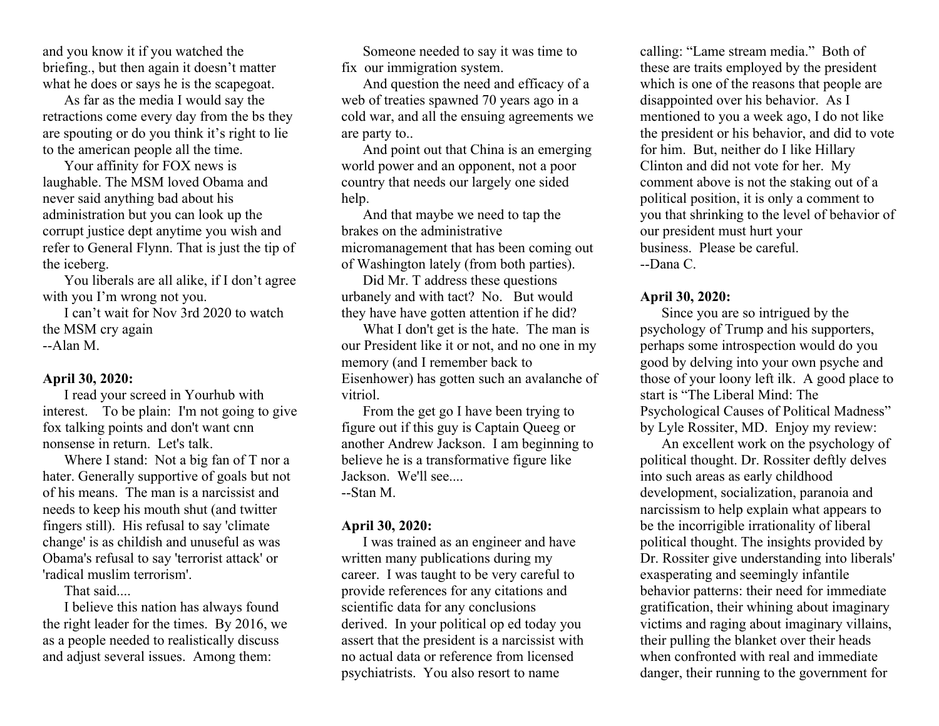and you know it if you watched the briefing., but then again it doesn't matter what he does or says he is the scapegoat.

As far as the media I would say the retractions come every day from the bs they are spouting or do you think it's right to lie to the american people all the time.

Your affinity for FOX news is laughable. The MSM loved Obama and never said anything bad about his administration but you can look up the corrupt justice dept anytime you wish and refer to General Flynn. That is just the tip of the iceberg.

You liberals are all alike, if I don't agree with you I'm wrong not you.

I can't wait for Nov 3rd 2020 to watch the MSM cry again --Alan M.

**April 30, 2020:** 

I read your screed in Yourhub with interest. To be plain: I'm not going to give fox talking points and don't want cnn nonsense in return. Let's talk.

Where I stand: Not a big fan of T nor a hater. Generally supportive of goals but not of his means. The man is a narcissist and needs to keep his mouth shut (and twitter fingers still). His refusal to say 'climate change' is as childish and unuseful as was Obama's refusal to say 'terrorist attack' or 'radical muslim terrorism'.

That said....

I believe this nation has always found the right leader for the times. By 2016, we as a people needed to realistically discuss and adjust several issues. Among them:

Someone needed to say it was time to fix our immigration system.

And question the need and efficacy of a web of treaties spawned 70 years ago in a cold war, and all the ensuing agreements we are party to..

And point out that China is an emerging world power and an opponent, not a poor country that needs our largely one sided help.

And that maybe we need to tap the brakes on the administrative micromanagement that has been coming out of Washington lately (from both parties).

Did Mr. T address these questions urbanely and with tact? No. But would they have have gotten attention if he did?

What I don't get is the hate. The man is our President like it or not, and no one in my memory (and I remember back to Eisenhower) has gotten such an avalanche of vitriol.

From the get go I have been trying to figure out if this guy is Captain Queeg or another Andrew Jackson. I am beginning to believe he is a transformative figure like Jackson. We'll see.... --Stan M.

## **April 30, 2020:**

I was trained as an engineer and have written many publications during my career. I was taught to be very careful to provide references for any citations and scientific data for any conclusions derived. In your political op ed today you assert that the president is a narcissist with no actual data or reference from licensed psychiatrists. You also resort to name

calling: "Lame stream media." Both of these are traits employed by the president which is one of the reasons that people are disappointed over his behavior. As I mentioned to you a week ago, I do not like the president or his behavior, and did to vote for him. But, neither do I like Hillary Clinton and did not vote for her. My comment above is not the staking out of a political position, it is only a comment to you that shrinking to the level of behavior of our president must hurt your business. Please be careful. --Dana C.

## **April 30, 2020:**

Since you are so intrigued by the psychology of Trump and his supporters, perhaps some introspection would do you good by delving into your own psyche and those of your loony left ilk. A good place to start is "The Liberal Mind: The Psychological Causes of Political Madness" by Lyle Rossiter, MD. Enjoy my review:

An excellent work on the psychology of political thought. Dr. Rossiter deftly delves into such areas as early childhood development, socialization, paranoia and narcissism to help explain what appears to be the incorrigible irrationality of liberal political thought. The insights provided by Dr. Rossiter give understanding into liberals' exasperating and seemingly infantile behavior patterns: their need for immediate gratification, their whining about imaginary victims and raging about imaginary villains, their pulling the blanket over their heads when confronted with real and immediate danger, their running to the government for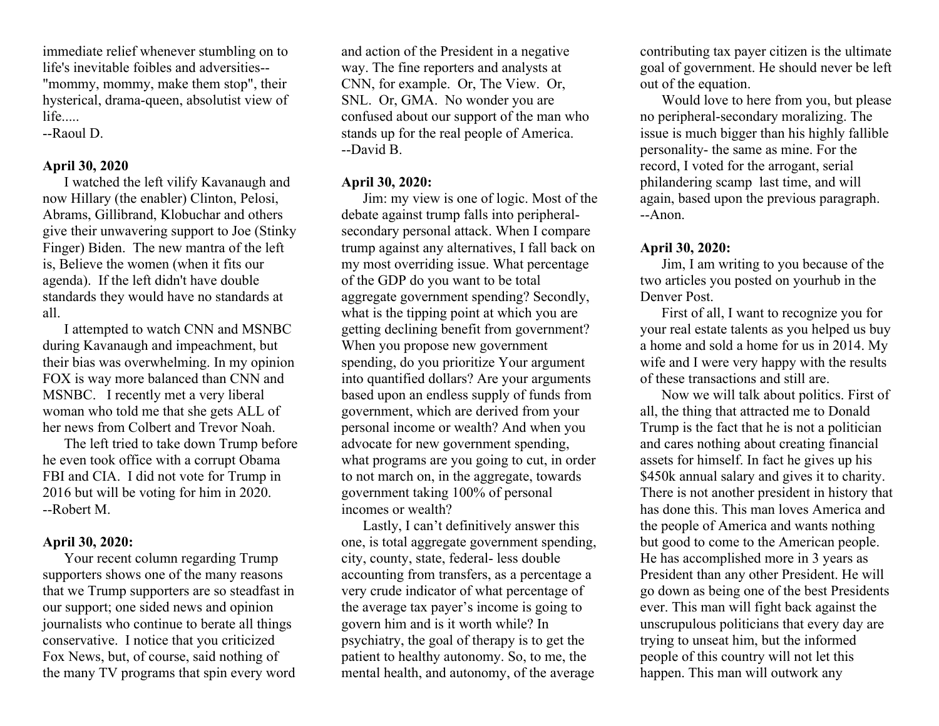immediate relief whenever stumbling on to life's inevitable foibles and adversities-- "mommy, mommy, make them stop", their hysterical, drama-queen, absolutist view of life.....

--Raoul D.

# **April 30, 2020**

I watched the left vilify Kavanaugh and now Hillary (the enabler) Clinton, Pelosi, Abrams, Gillibrand, Klobuchar and others give their unwavering support to Joe (Stinky Finger) Biden. The new mantra of the left is, Believe the women (when it fits our agenda). If the left didn't have double standards they would have no standards at all.

I attempted to watch CNN and MSNBC during Kavanaugh and impeachment, but their bias was overwhelming. In my opinion FOX is way more balanced than CNN and MSNBC. I recently met a very liberal woman who told me that she gets ALL of her news from Colbert and Trevor Noah.

The left tried to take down Trump before he even took office with a corrupt Obama FBI and CIA. I did not vote for Trump in 2016 but will be voting for him in 2020. --Robert M.

# **April 30, 2020:**

Your recent column regarding Trump supporters shows one of the many reasons that we Trump supporters are so steadfast in our support; one sided news and opinion journalists who continue to berate all things conservative. I notice that you criticized Fox News, but, of course, said nothing of the many TV programs that spin every word

and action of the President in a negative way. The fine reporters and analysts at CNN, for example. Or, The View. Or, SNL. Or, GMA. No wonder you are confused about our support of the man who stands up for the real people of America. --David B.

# **April 30, 2020:**

Jim: my view is one of logic. Most of the debate against trump falls into peripheralsecondary personal attack. When I compare trump against any alternatives, I fall back on my most overriding issue. What percentage of the GDP do you want to be total aggregate government spending? Secondly, what is the tipping point at which you are getting declining benefit from government? When you propose new government spending, do you prioritize Your argument into quantified dollars? Are your arguments based upon an endless supply of funds from government, which are derived from your personal income or wealth? And when you advocate for new government spending, what programs are you going to cut, in order to not march on, in the aggregate, towards government taking 100% of personal incomes or wealth?

Lastly, I can't definitively answer this one, is total aggregate government spending, city, county, state, federal- less double accounting from transfers, as a percentage a very crude indicator of what percentage of the average tax payer's income is going to govern him and is it worth while? In psychiatry, the goal of therapy is to get the patient to healthy autonomy. So, to me, the mental health, and autonomy, of the average

contributing tax payer citizen is the ultimate goal of government. He should never be left out of the equation.

Would love to here from you, but please no peripheral-secondary moralizing. The issue is much bigger than his highly fallible personality- the same as mine. For the record, I voted for the arrogant, serial philandering scamp last time, and will again, based upon the previous paragraph. --Anon.

## **April 30, 2020:**

Jim, I am writing to you because of the two articles you posted on yourhub in the Denver Post.

First of all, I want to recognize you for your real estate talents as you helped us buy a home and sold a home for us in 2014. My wife and I were very happy with the results of these transactions and still are.

Now we will talk about politics. First of all, the thing that attracted me to Donald Trump is the fact that he is not a politician and cares nothing about creating financial assets for himself. In fact he gives up his \$450k annual salary and gives it to charity. There is not another president in history that has done this. This man loves America and the people of America and wants nothing but good to come to the American people. He has accomplished more in 3 years as President than any other President. He will go down as being one of the best Presidents ever. This man will fight back against the unscrupulous politicians that every day are trying to unseat him, but the informed people of this country will not let this happen. This man will outwork any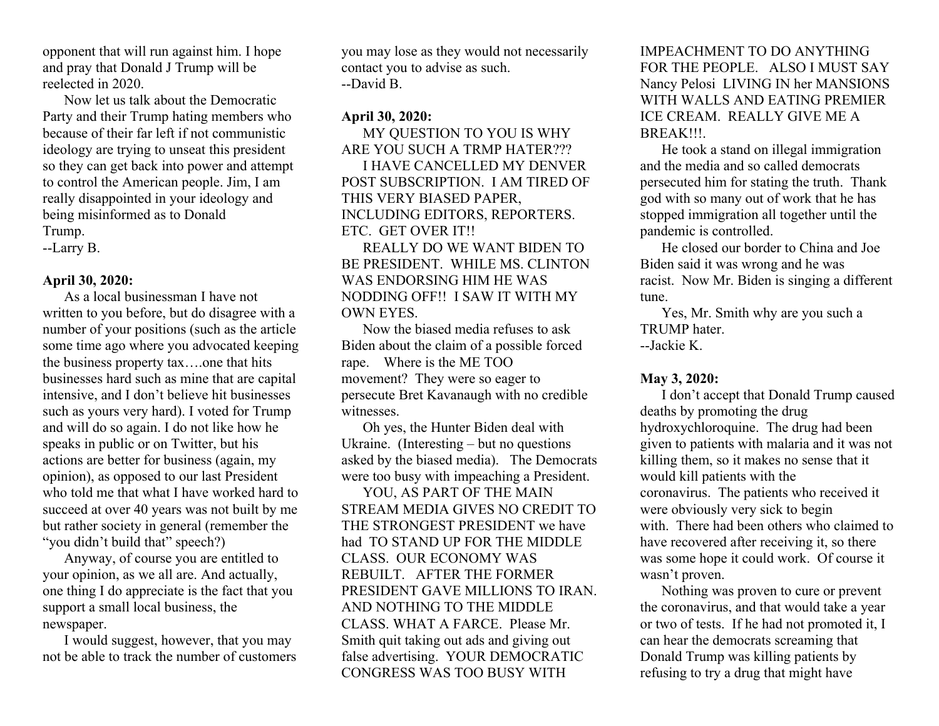opponent that will run against him. I hope and pray that Donald J Trump will be reelected in 2020.

Now let us talk about the Democratic Party and their Trump hating members who because of their far left if not communistic ideology are trying to unseat this president so they can get back into power and attempt to control the American people. Jim, I am really disappointed in your ideology and being misinformed as to Donald Trump.

--Larry B.

## **April 30, 2020:**

As a local businessman I have not written to you before, but do disagree with a number of your positions (such as the article some time ago where you advocated keeping the business property tax….one that hits businesses hard such as mine that are capital intensive, and I don't believe hit businesses such as yours very hard). I voted for Trump and will do so again. I do not like how he speaks in public or on Twitter, but his actions are better for business (again, my opinion), as opposed to our last President who told me that what I have worked hard to succeed at over 40 years was not built by me but rather society in general (remember the "you didn't build that" speech?)

Anyway, of course you are entitled to your opinion, as we all are. And actually, one thing I do appreciate is the fact that you support a small local business, the newspaper.

I would suggest, however, that you may not be able to track the number of customers you may lose as they would not necessarily contact you to advise as such. --David B.

# **April 30, 2020:**

MY QUESTION TO YOU IS WHY ARE YOU SUCH A TRMP HATER???

I HAVE CANCELLED MY DENVER POST SUBSCRIPTION. I AM TIRED OF THIS VERY BIASED PAPER, INCLUDING EDITORS, REPORTERS. ETC. GET OVER IT!!

REALLY DO WE WANT BIDEN TO BE PRESIDENT. WHILE MS. CLINTON WAS ENDORSING HIM HE WAS NODDING OFF!! I SAW IT WITH MY OWN EYES.

Now the biased media refuses to ask Biden about the claim of a possible forced rape. Where is the ME TOO movement? They were so eager to persecute Bret Kavanaugh with no credible witnesses.

Oh yes, the Hunter Biden deal with Ukraine. (Interesting – but no questions asked by the biased media). The Democrats were too busy with impeaching a President.

YOU, AS PART OF THE MAIN STREAM MEDIA GIVES NO CREDIT TO THE STRONGEST PRESIDENT we have had TO STAND UP FOR THE MIDDLE CLASS. OUR ECONOMY WAS REBUILT. AFTER THE FORMER PRESIDENT GAVE MILLIONS TO IRAN. AND NOTHING TO THE MIDDLE CLASS. WHAT A FARCE. Please Mr. Smith quit taking out ads and giving out false advertising. YOUR DEMOCRATIC CONGRESS WAS TOO BUSY WITH

IMPEACHMENT TO DO ANYTHING FOR THE PEOPLE. ALSO I MUST SAY Nancy Pelosi LIVING IN her MANSIONS WITH WALLS AND EATING PREMIER ICE CREAM. REALLY GIVE ME A BREAK!!!.

He took a stand on illegal immigration and the media and so called democrats persecuted him for stating the truth. Thank god with so many out of work that he has stopped immigration all together until the pandemic is controlled.

He closed our border to China and Joe Biden said it was wrong and he was racist. Now Mr. Biden is singing a different tune.

Yes, Mr. Smith why are you such a TRUMP hater.

--Jackie K.

## **May 3, 2020:**

I don't accept that Donald Trump caused deaths by promoting the drug hydroxychloroquine. The drug had been given to patients with malaria and it was not killing them, so it makes no sense that it would kill patients with the coronavirus. The patients who received it were obviously very sick to begin with. There had been others who claimed to have recovered after receiving it, so there was some hope it could work. Of course it wasn't proven.

Nothing was proven to cure or prevent the coronavirus, and that would take a year or two of tests. If he had not promoted it, I can hear the democrats screaming that Donald Trump was killing patients by refusing to try a drug that might have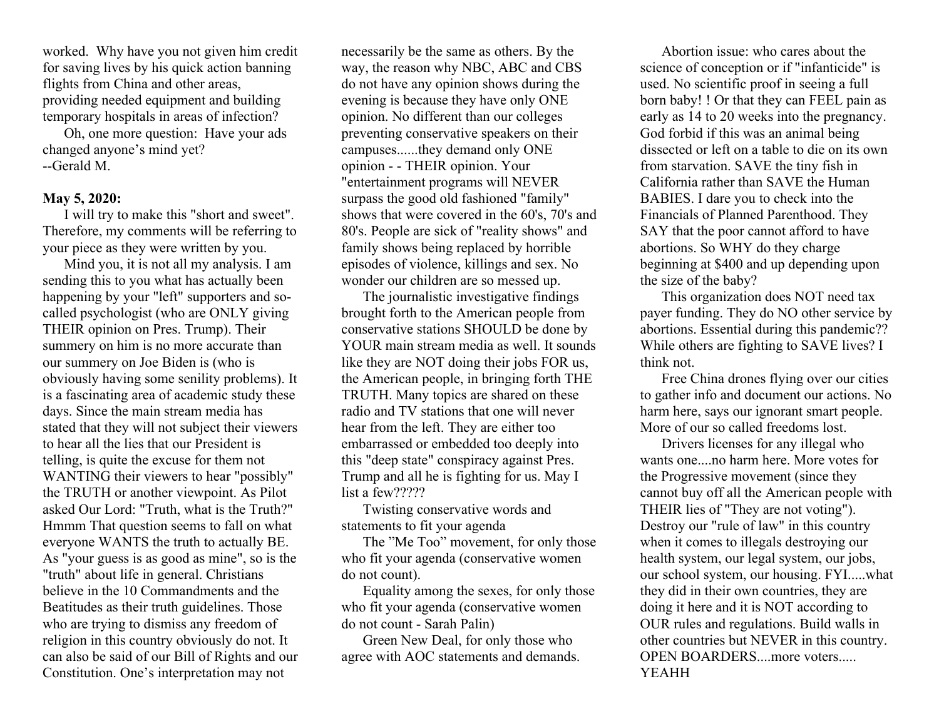worked. Why have you not given him credit for saving lives by his quick action banning flights from China and other areas, providing needed equipment and building temporary hospitals in areas of infection?

Oh, one more question: Have your ads changed anyone's mind yet? --Gerald M.

## **May 5, 2020:**

I will try to make this "short and sweet". Therefore, my comments will be referring to your piece as they were written by you.

Mind you, it is not all my analysis. I am sending this to you what has actually been happening by your "left" supporters and socalled psychologist (who are ONLY giving THEIR opinion on Pres. Trump). Their summery on him is no more accurate than our summery on Joe Biden is (who is obviously having some senility problems). It is a fascinating area of academic study these days. Since the main stream media has stated that they will not subject their viewers to hear all the lies that our President is telling, is quite the excuse for them not WANTING their viewers to hear "possibly" the TRUTH or another viewpoint. As Pilot asked Our Lord: "Truth, what is the Truth?" Hmmm That question seems to fall on what everyone WANTS the truth to actually BE. As "your guess is as good as mine", so is the "truth" about life in general. Christians believe in the 10 Commandments and the Beatitudes as their truth guidelines. Those who are trying to dismiss any freedom of religion in this country obviously do not. It can also be said of our Bill of Rights and our Constitution. One's interpretation may not

necessarily be the same as others. By the way, the reason why NBC, ABC and CBS do not have any opinion shows during the evening is because they have only ONE opinion. No different than our colleges preventing conservative speakers on their campuses......they demand only ONE opinion - - THEIR opinion. Your "entertainment programs will NEVER surpass the good old fashioned "family" shows that were covered in the 60's, 70's and 80's. People are sick of "reality shows" and family shows being replaced by horrible episodes of violence, killings and sex. No wonder our children are so messed up.

The journalistic investigative findings brought forth to the American people from conservative stations SHOULD be done by YOUR main stream media as well. It sounds like they are NOT doing their jobs FOR us, the American people, in bringing forth THE TRUTH. Many topics are shared on these radio and TV stations that one will never hear from the left. They are either too embarrassed or embedded too deeply into this "deep state" conspiracy against Pres. Trump and all he is fighting for us. May I list a few?????

Twisting conservative words and statements to fit your agenda

The "Me Too" movement, for only those who fit your agenda (conservative women do not count).

Equality among the sexes, for only those who fit your agenda (conservative women do not count - Sarah Palin)

Green New Deal, for only those who agree with AOC statements and demands.

Abortion issue: who cares about the science of conception or if "infanticide" is used. No scientific proof in seeing a full born baby! ! Or that they can FEEL pain as early as 14 to 20 weeks into the pregnancy. God forbid if this was an animal being dissected or left on a table to die on its own from starvation. SAVE the tiny fish in California rather than SAVE the Human BABIES. I dare you to check into the Financials of Planned Parenthood. They SAY that the poor cannot afford to have abortions. So WHY do they charge beginning at \$400 and up depending upon the size of the baby?

This organization does NOT need tax payer funding. They do NO other service by abortions. Essential during this pandemic?? While others are fighting to SAVE lives? I think not.

Free China drones flying over our cities to gather info and document our actions. No harm here, says our ignorant smart people. More of our so called freedoms lost.

Drivers licenses for any illegal who wants one....no harm here. More votes for the Progressive movement (since they cannot buy off all the American people with THEIR lies of "They are not voting"). Destroy our "rule of law" in this country when it comes to illegals destroying our health system, our legal system, our jobs, our school system, our housing. FYI.....what they did in their own countries, they are doing it here and it is NOT according to OUR rules and regulations. Build walls in other countries but NEVER in this country. OPEN BOARDERS....more voters..... YEAHH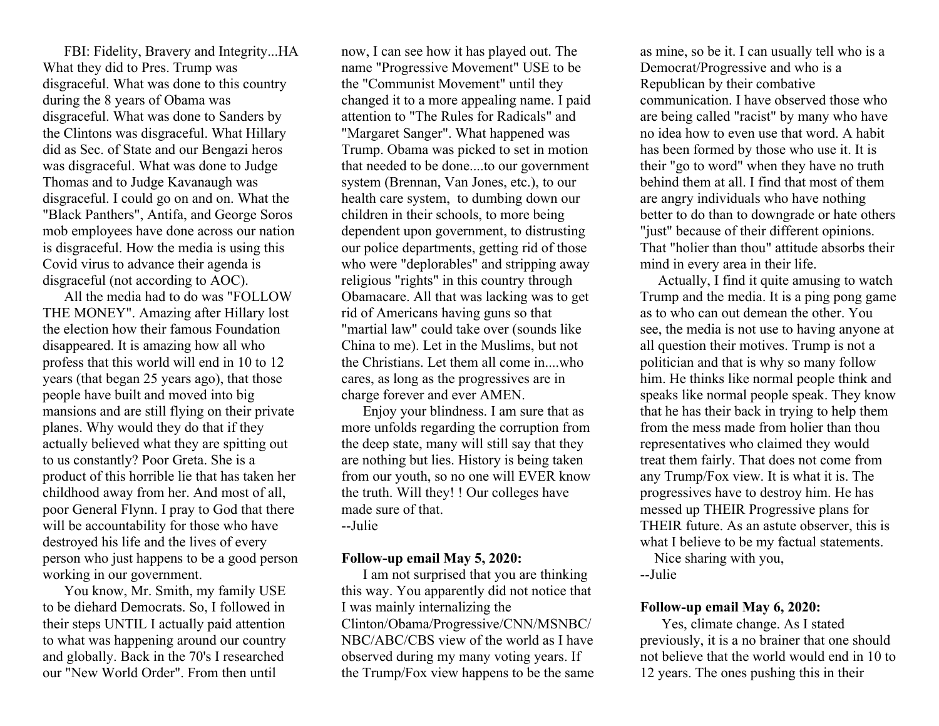FBI: Fidelity, Bravery and Integrity...HA What they did to Pres. Trump was disgraceful. What was done to this country during the 8 years of Obama was disgraceful. What was done to Sanders by the Clintons was disgraceful. What Hillary did as Sec. of State and our Bengazi heros was disgraceful. What was done to Judge Thomas and to Judge Kavanaugh was disgraceful. I could go on and on. What the "Black Panthers", Antifa, and George Soros mob employees have done across our nation is disgraceful. How the media is using this Covid virus to advance their agenda is disgraceful (not according to AOC).

All the media had to do was "FOLLOW THE MONEY". Amazing after Hillary lost the election how their famous Foundation disappeared. It is amazing how all who profess that this world will end in 10 to 12 years (that began 25 years ago), that those people have built and moved into big mansions and are still flying on their private planes. Why would they do that if they actually believed what they are spitting out to us constantly? Poor Greta. She is a product of this horrible lie that has taken her childhood away from her. And most of all, poor General Flynn. I pray to God that there will be accountability for those who have destroyed his life and the lives of every person who just happens to be a good person working in our government.

You know, Mr. Smith, my family USE to be diehard Democrats. So, I followed in their steps UNTIL I actually paid attention to what was happening around our country and globally. Back in the 70's I researched our "New World Order". From then until

now, I can see how it has played out. The name "Progressive Movement" USE to be the "Communist Movement" until they changed it to a more appealing name. I paid attention to "The Rules for Radicals" and "Margaret Sanger". What happened was Trump. Obama was picked to set in motion that needed to be done....to our government system (Brennan, Van Jones, etc.), to our health care system, to dumbing down our children in their schools, to more being dependent upon government, to distrusting our police departments, getting rid of those who were "deplorables" and stripping away religious "rights" in this country through Obamacare. All that was lacking was to get rid of Americans having guns so that "martial law" could take over (sounds like China to me). Let in the Muslims, but not the Christians. Let them all come in....who cares, as long as the progressives are in charge forever and ever AMEN.

Enjoy your blindness. I am sure that as more unfolds regarding the corruption from the deep state, many will still say that they are nothing but lies. History is being taken from our youth, so no one will EVER know the truth. Will they! ! Our colleges have made sure of that. --Julie

## **Follow-up email May 5, 2020:**

I am not surprised that you are thinking this way. You apparently did not notice that I was mainly internalizing the Clinton/Obama/Progressive/CNN/MSNBC/ NBC/ABC/CBS view of the world as I have observed during my many voting years. If the Trump/Fox view happens to be the same

as mine, so be it. I can usually tell who is a Democrat/Progressive and who is a Republican by their combative communication. I have observed those who are being called "racist" by many who have no idea how to even use that word. A habit has been formed by those who use it. It is their "go to word" when they have no truth behind them at all. I find that most of them are angry individuals who have nothing better to do than to downgrade or hate others "just" because of their different opinions. That "holier than thou" attitude absorbs their mind in every area in their life.

 Actually, I find it quite amusing to watch Trump and the media. It is a ping pong game as to who can out demean the other. You see, the media is not use to having anyone at all question their motives. Trump is not a politician and that is why so many follow him. He thinks like normal people think and speaks like normal people speak. They know that he has their back in trying to help them from the mess made from holier than thou representatives who claimed they would treat them fairly. That does not come from any Trump/Fox view. It is what it is. The progressives have to destroy him. He has messed up THEIR Progressive plans for THEIR future. As an astute observer, this is what I believe to be my factual statements.

 Nice sharing with you, --Julie

#### **Follow-up email May 6, 2020:**

Yes, climate change. As I stated previously, it is a no brainer that one should not believe that the world would end in 10 to 12 years. The ones pushing this in their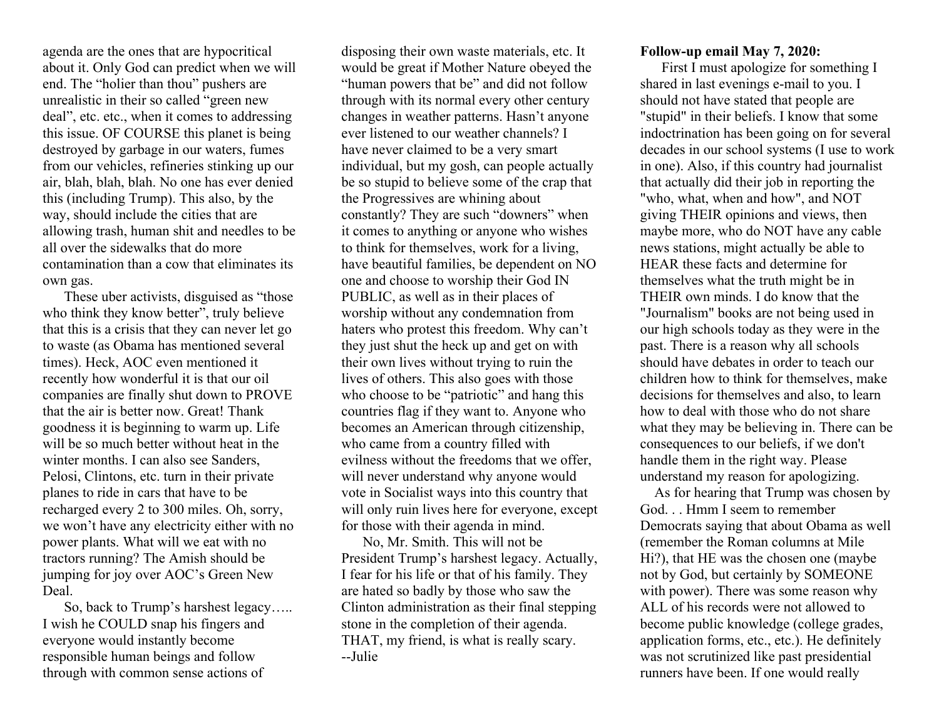agenda are the ones that are hypocritical about it. Only God can predict when we will end. The "holier than thou" pushers are unrealistic in their so called "green new deal", etc. etc., when it comes to addressing this issue. OF COURSE this planet is being destroyed by garbage in our waters, fumes from our vehicles, refineries stinking up our air, blah, blah, blah. No one has ever denied this (including Trump). This also, by the way, should include the cities that are allowing trash, human shit and needles to be all over the sidewalks that do more contamination than a cow that eliminates its own gas.

These uber activists, disguised as "those who think they know better", truly believe that this is a crisis that they can never let go to waste (as Obama has mentioned several times). Heck, AOC even mentioned it recently how wonderful it is that our oil companies are finally shut down to PROVE that the air is better now. Great! Thank goodness it is beginning to warm up. Life will be so much better without heat in the winter months. I can also see Sanders, Pelosi, Clintons, etc. turn in their private planes to ride in cars that have to be recharged every 2 to 300 miles. Oh, sorry, we won't have any electricity either with no power plants. What will we eat with no tractors running? The Amish should be jumping for joy over AOC's Green New Deal.

So, back to Trump's harshest legacy….. I wish he COULD snap his fingers and everyone would instantly become responsible human beings and follow through with common sense actions of

disposing their own waste materials, etc. It would be great if Mother Nature obeyed the "human powers that be" and did not follow through with its normal every other century changes in weather patterns. Hasn't anyone ever listened to our weather channels? I have never claimed to be a very smart individual, but my gosh, can people actually be so stupid to believe some of the crap that the Progressives are whining about constantly? They are such "downers" when it comes to anything or anyone who wishes to think for themselves, work for a living, have beautiful families, be dependent on NO one and choose to worship their God IN PUBLIC, as well as in their places of worship without any condemnation from haters who protest this freedom. Why can't they just shut the heck up and get on with their own lives without trying to ruin the lives of others. This also goes with those who choose to be "patriotic" and hang this countries flag if they want to. Anyone who becomes an American through citizenship, who came from a country filled with evilness without the freedoms that we offer, will never understand why anyone would vote in Socialist ways into this country that will only ruin lives here for everyone, except for those with their agenda in mind.

No, Mr. Smith. This will not be President Trump's harshest legacy. Actually, I fear for his life or that of his family. They are hated so badly by those who saw the Clinton administration as their final stepping stone in the completion of their agenda. THAT, my friend, is what is really scary. --Julie

#### **Follow-up email May 7, 2020:**

First I must apologize for something I shared in last evenings e-mail to you. I should not have stated that people are "stupid" in their beliefs. I know that some indoctrination has been going on for several decades in our school systems (I use to work in one). Also, if this country had journalist that actually did their job in reporting the "who, what, when and how", and NOT giving THEIR opinions and views, then maybe more, who do NOT have any cable news stations, might actually be able to HEAR these facts and determine for themselves what the truth might be in THEIR own minds. I do know that the "Journalism" books are not being used in our high schools today as they were in the past. There is a reason why all schools should have debates in order to teach our children how to think for themselves, make decisions for themselves and also, to learn how to deal with those who do not share what they may be believing in. There can be consequences to our beliefs, if we don't handle them in the right way. Please understand my reason for apologizing.

 As for hearing that Trump was chosen by God. . . Hmm I seem to remember Democrats saying that about Obama as well (remember the Roman columns at Mile Hi?), that HE was the chosen one (maybe not by God, but certainly by SOMEONE with power). There was some reason why ALL of his records were not allowed to become public knowledge (college grades, application forms, etc., etc.). He definitely was not scrutinized like past presidential runners have been. If one would really